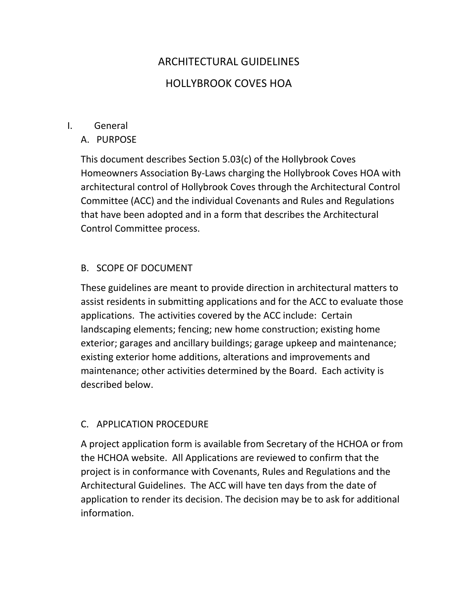# ARCHITECTURAL GUIDELINES HOLLYBROOK COVES HOA

#### I. General

A. PURPOSE

This document describes Section 5.03(c) of the Hollybrook Coves Homeowners Association By-Laws charging the Hollybrook Coves HOA with architectural control of Hollybrook Coves through the Architectural Control Committee (ACC) and the individual Covenants and Rules and Regulations that have been adopted and in a form that describes the Architectural Control Committee process.

# B. SCOPE OF DOCUMENT

These guidelines are meant to provide direction in architectural matters to assist residents in submitting applications and for the ACC to evaluate those applications. The activities covered by the ACC include: Certain landscaping elements; fencing; new home construction; existing home exterior; garages and ancillary buildings; garage upkeep and maintenance; existing exterior home additions, alterations and improvements and maintenance; other activities determined by the Board. Each activity is described below.

# C. APPLICATION PROCEDURE

A project application form is available from Secretary of the HCHOA or from the HCHOA website. All Applications are reviewed to confirm that the project is in conformance with Covenants, Rules and Regulations and the Architectural Guidelines. The ACC will have ten days from the date of application to render its decision. The decision may be to ask for additional information.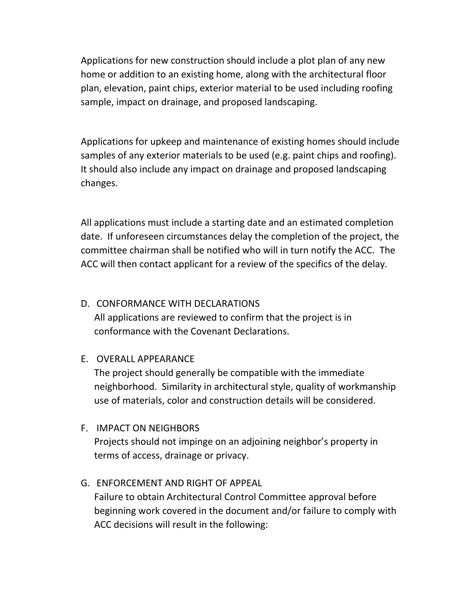Applications for new construction should include a plot plan of any new home or addition to an existing home, along with the architectural floor plan, elevation, paint chips, exterior material to be used including roofing sample, impact on drainage, and proposed landscaping.

Applications for upkeep and maintenance of existing homes should include samples of any exterior materials to be used (e.g. paint chips and roofing). It should also include any impact on drainage and proposed landscaping changes.

All applications must include a starting date and an estimated completion date. If unforeseen circumstances delay the completion of the project, the committee chairman shall be notified who will in turn notify the ACC. The ACC will then contact applicant for a review of the specifics of the delay.

# D. CONFORMANCE WITH DECLARATIONS

All applications are reviewed to confirm that the project is in conformance with the Covenant Declarations.

# E. OVERALL APPEARANCE

The project should generally be compatible with the immediate neighborhood. Similarity in architectural style, quality of workmanship use of materials, color and construction details will be considered.

# F. IMPACT ON NEIGHBORS

Projects should not impinge on an adjoining neighbor's property in terms of access, drainage or privacy.

# G. ENFORCEMENT AND RIGHT OF APPEAL

Failure to obtain Architectural Control Committee approval before beginning work covered in the document and/or failure to comply with ACC decisions will result in the following: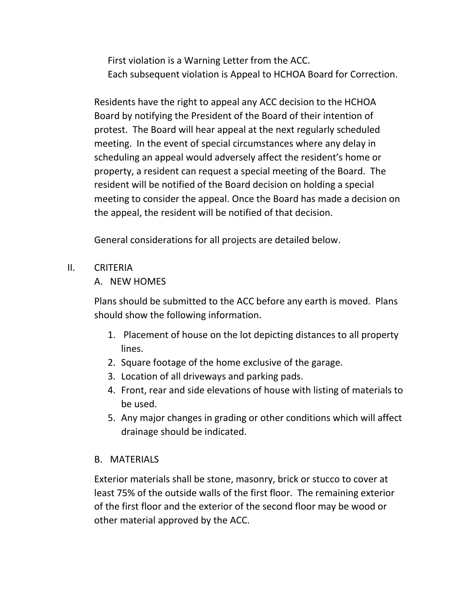First violation is a Warning Letter from the ACC. Each subsequent violation is Appeal to HCHOA Board for Correction.

Residents have the right to appeal any ACC decision to the HCHOA Board by notifying the President of the Board of their intention of protest. The Board will hear appeal at the next regularly scheduled meeting. In the event of special circumstances where any delay in scheduling an appeal would adversely affect the resident's home or property, a resident can request a special meeting of the Board. The resident will be notified of the Board decision on holding a special meeting to consider the appeal. Once the Board has made a decision on the appeal, the resident will be notified of that decision.

General considerations for all projects are detailed below.

#### II. CRITERIA

# A. NEW HOMES

Plans should be submitted to the ACC before any earth is moved. Plans should show the following information.

- 1. Placement of house on the lot depicting distances to all property lines.
- 2. Square footage of the home exclusive of the garage.
- 3. Location of all driveways and parking pads.
- 4. Front, rear and side elevations of house with listing of materials to be used.
- 5. Any major changes in grading or other conditions which will affect drainage should be indicated.

# B. MATERIALS

Exterior materials shall be stone, masonry, brick or stucco to cover at least 75% of the outside walls of the first floor. The remaining exterior of the first floor and the exterior of the second floor may be wood or other material approved by the ACC.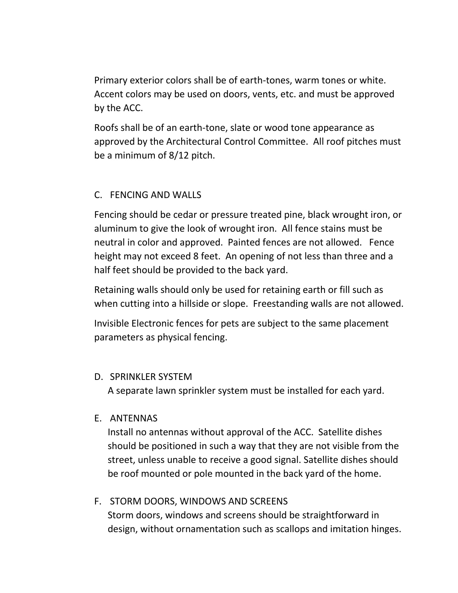Primary exterior colors shall be of earth-tones, warm tones or white. Accent colors may be used on doors, vents, etc. and must be approved by the ACC.

Roofs shall be of an earth-tone, slate or wood tone appearance as approved by the Architectural Control Committee. All roof pitches must be a minimum of 8/12 pitch.

#### C. FENCING AND WALLS

Fencing should be cedar or pressure treated pine, black wrought iron, or aluminum to give the look of wrought iron. All fence stains must be neutral in color and approved. Painted fences are not allowed. Fence height may not exceed 8 feet. An opening of not less than three and a half feet should be provided to the back yard.

Retaining walls should only be used for retaining earth or fill such as when cutting into a hillside or slope. Freestanding walls are not allowed.

Invisible Electronic fences for pets are subject to the same placement parameters as physical fencing.

#### D. SPRINKLER SYSTEM

A separate lawn sprinkler system must be installed for each yard.

#### E. ANTENNAS

Install no antennas without approval of the ACC. Satellite dishes should be positioned in such a way that they are not visible from the street, unless unable to receive a good signal. Satellite dishes should be roof mounted or pole mounted in the back yard of the home.

# F. STORM DOORS, WINDOWS AND SCREENS Storm doors, windows and screens should be straightforward in design, without ornamentation such as scallops and imitation hinges.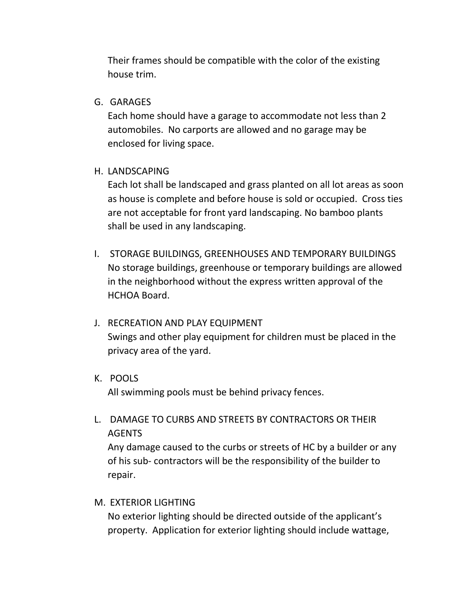Their frames should be compatible with the color of the existing house trim.

#### G. GARAGES

Each home should have a garage to accommodate not less than 2 automobiles. No carports are allowed and no garage may be enclosed for living space.

#### H. LANDSCAPING

Each lot shall be landscaped and grass planted on all lot areas as soon as house is complete and before house is sold or occupied. Cross ties are not acceptable for front yard landscaping. No bamboo plants shall be used in any landscaping.

I. STORAGE BUILDINGS, GREENHOUSES AND TEMPORARY BUILDINGS No storage buildings, greenhouse or temporary buildings are allowed in the neighborhood without the express written approval of the HCHOA Board.

# J. RECREATION AND PLAY EQUIPMENT Swings and other play equipment for children must be placed in the privacy area of the yard.

K. POOLS

All swimming pools must be behind privacy fences.

L. DAMAGE TO CURBS AND STREETS BY CONTRACTORS OR THEIR AGENTS

Any damage caused to the curbs or streets of HC by a builder or any of his sub- contractors will be the responsibility of the builder to repair.

#### M. EXTERIOR LIGHTING

No exterior lighting should be directed outside of the applicant's property. Application for exterior lighting should include wattage,